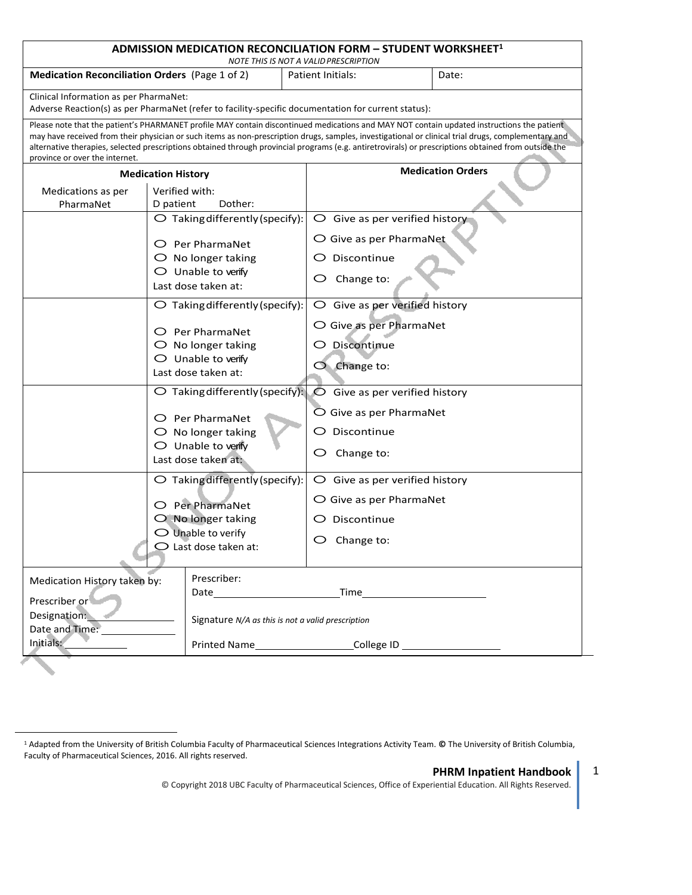<span id="page-0-0"></span>

| ADMISSION MEDICATION RECONCILIATION FORM - STUDENT WORKSHEET $^1$<br>NOTE THIS IS NOT A VALID PRESCRIPTION                                                                                                                                                                                                                                                                                                                                                                                  |                                                                                                                                                           |                                                                                                          |  |  |
|---------------------------------------------------------------------------------------------------------------------------------------------------------------------------------------------------------------------------------------------------------------------------------------------------------------------------------------------------------------------------------------------------------------------------------------------------------------------------------------------|-----------------------------------------------------------------------------------------------------------------------------------------------------------|----------------------------------------------------------------------------------------------------------|--|--|
| <b>Medication Reconciliation Orders</b> (Page 1 of 2)                                                                                                                                                                                                                                                                                                                                                                                                                                       |                                                                                                                                                           | Patient Initials:<br>Date:                                                                               |  |  |
| Clinical Information as per PharmaNet:<br>Adverse Reaction(s) as per PharmaNet (refer to facility-specific documentation for current status):                                                                                                                                                                                                                                                                                                                                               |                                                                                                                                                           |                                                                                                          |  |  |
| Please note that the patient's PHARMANET profile MAY contain discontinued medications and MAY NOT contain updated instructions the patient<br>may have received from their physician or such items as non-prescription drugs, samples, investigational or clinical trial drugs, complementary and<br>alternative therapies, selected prescriptions obtained through provincial programs (e.g. antiretrovirals) or prescriptions obtained from outside the<br>province or over the internet. |                                                                                                                                                           |                                                                                                          |  |  |
| <b>Medication History</b>                                                                                                                                                                                                                                                                                                                                                                                                                                                                   |                                                                                                                                                           | <b>Medication Orders</b>                                                                                 |  |  |
| Medications as per<br>PharmaNet                                                                                                                                                                                                                                                                                                                                                                                                                                                             | Verified with:<br>D patient<br>Dother:                                                                                                                    |                                                                                                          |  |  |
|                                                                                                                                                                                                                                                                                                                                                                                                                                                                                             | $\bigcirc$ Taking differently (specify):                                                                                                                  | $\bigcirc$ Give as per verified history                                                                  |  |  |
|                                                                                                                                                                                                                                                                                                                                                                                                                                                                                             | $\bigcirc$ Per PharmaNet<br>$\bigcirc$ No longer taking<br>$\bigcirc$ Unable to verify                                                                    | O Give as per PharmaNet<br>$\bigcirc$ Discontinue<br>Change to:<br>Ő                                     |  |  |
|                                                                                                                                                                                                                                                                                                                                                                                                                                                                                             | Last dose taken at:                                                                                                                                       |                                                                                                          |  |  |
|                                                                                                                                                                                                                                                                                                                                                                                                                                                                                             | $\bigcirc$ Taking differently (specify):                                                                                                                  | $\bigcirc$ Give as per verified history                                                                  |  |  |
|                                                                                                                                                                                                                                                                                                                                                                                                                                                                                             | O Per PharmaNet<br>$\bigcirc$ No longer taking                                                                                                            | O Give as per PharmaNet<br>O Discontinue                                                                 |  |  |
|                                                                                                                                                                                                                                                                                                                                                                                                                                                                                             | $\bigcirc$ Unable to verify<br>Last dose taken at:                                                                                                        | $O$ Change to:                                                                                           |  |  |
|                                                                                                                                                                                                                                                                                                                                                                                                                                                                                             | $\bigcirc$ Taking differently (specify):<br>$\bigcirc$ Per PharmaNet<br>$\bigcirc$ No longer taking<br>$\bigcirc$ Unable to verify<br>Last dose taken at: | $\bullet$ Give as per verified history<br>O Give as per PharmaNet<br>Discontinue<br>O<br>Change to:<br>O |  |  |
|                                                                                                                                                                                                                                                                                                                                                                                                                                                                                             | O Taking differently (specify):                                                                                                                           | $\bigcirc$ Give as per verified history                                                                  |  |  |
|                                                                                                                                                                                                                                                                                                                                                                                                                                                                                             | O Per PharmaNet                                                                                                                                           | ○ Give as per PharmaNet                                                                                  |  |  |
|                                                                                                                                                                                                                                                                                                                                                                                                                                                                                             | $O$ No longer taking                                                                                                                                      | Discontinue                                                                                              |  |  |
|                                                                                                                                                                                                                                                                                                                                                                                                                                                                                             | $\bigcirc$ Unable to verify<br>$\bigcirc$ Last dose taken at:                                                                                             | O<br>Change to:                                                                                          |  |  |
| Medication History taken by:                                                                                                                                                                                                                                                                                                                                                                                                                                                                | Prescriber:                                                                                                                                               |                                                                                                          |  |  |
| Prescriber or<br>Designation:<br>Date and Time: 1997<br>Initials:                                                                                                                                                                                                                                                                                                                                                                                                                           |                                                                                                                                                           | Signature N/A as this is not a valid prescription                                                        |  |  |
|                                                                                                                                                                                                                                                                                                                                                                                                                                                                                             |                                                                                                                                                           |                                                                                                          |  |  |

 $\overline{a}$ 

## **PHRM Inpatient Handbook** 1

© Copyright 2018 UBC Faculty of Pharmaceutical Sciences, Office of Experiential Education. All Rights Reserved.

<sup>1</sup> Adapted from the University of British Columbia Faculty of Pharmaceutical Sciences Integrations Activity Team. **©** The University of British Columbia, Faculty of Pharmaceutical Sciences, 2016. All rights reserved.